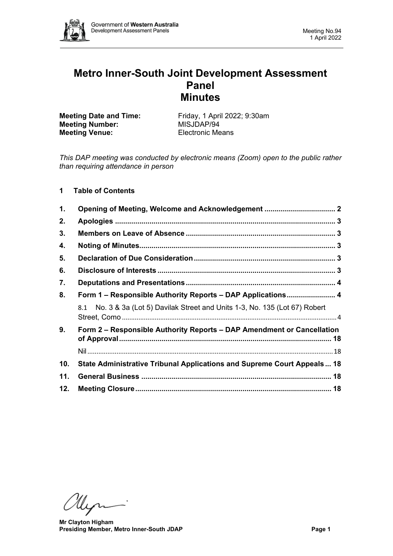

# **Metro Inner-South Joint Development Assessment Panel Minutes**

**Meeting Number:** MISJDAP/94<br> **Meeting Venue:** Electronic Means **Meeting Venue:** 

**Meeting Date and Time:** Friday, 1 April 2022; 9:30am<br> **Meeting Number:** MISJDAP/94

*This DAP meeting was conducted by electronic means (Zoom) open to the public rather than requiring attendance in person*

# **1 Table of Contents**

| 1.  |                                                                                 |  |  |  |  |
|-----|---------------------------------------------------------------------------------|--|--|--|--|
| 2.  |                                                                                 |  |  |  |  |
| 3.  |                                                                                 |  |  |  |  |
| 4.  |                                                                                 |  |  |  |  |
| 5.  |                                                                                 |  |  |  |  |
| 6.  |                                                                                 |  |  |  |  |
| 7.  |                                                                                 |  |  |  |  |
| 8.  | Form 1 – Responsible Authority Reports – DAP Applications 4                     |  |  |  |  |
|     | No. 3 & 3a (Lot 5) Davilak Street and Units 1-3, No. 135 (Lot 67) Robert<br>8.1 |  |  |  |  |
| 9.  | Form 2 – Responsible Authority Reports – DAP Amendment or Cancellation          |  |  |  |  |
|     |                                                                                 |  |  |  |  |
| 10. | State Administrative Tribunal Applications and Supreme Court Appeals 18         |  |  |  |  |
| 11. |                                                                                 |  |  |  |  |
| 12. | Meeting Closure…………………………………………………………………………………… 18                              |  |  |  |  |

Ulyn-

**Mr Clayton Higham Presiding Member, Metro Inner-South JDAP Page 1**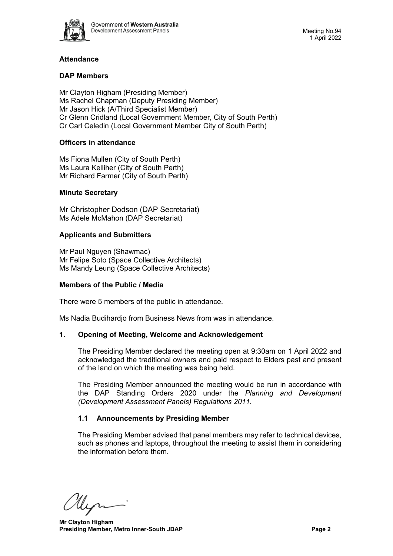

# **Attendance**

# **DAP Members**

Mr Clayton Higham (Presiding Member) Ms Rachel Chapman (Deputy Presiding Member) Mr Jason Hick (A/Third Specialist Member) Cr Glenn Cridland (Local Government Member, City of South Perth) Cr Carl Celedin (Local Government Member City of South Perth)

# **Officers in attendance**

Ms Fiona Mullen (City of South Perth) Ms Laura Kelliher (City of South Perth) Mr Richard Farmer (City of South Perth)

## **Minute Secretary**

Mr Christopher Dodson (DAP Secretariat) Ms Adele McMahon (DAP Secretariat)

## **Applicants and Submitters**

Mr Paul Nguyen (Shawmac) Mr Felipe Soto (Space Collective Architects) Ms Mandy Leung (Space Collective Architects)

#### **Members of the Public / Media**

There were 5 members of the public in attendance.

<span id="page-1-0"></span>Ms Nadia Budihardjo from Business News from was in attendance.

#### **1. Opening of Meeting, Welcome and Acknowledgement**

The Presiding Member declared the meeting open at 9:30am on 1 April 2022 and acknowledged the traditional owners and paid respect to Elders past and present of the land on which the meeting was being held.

The Presiding Member announced the meeting would be run in accordance with the DAP Standing Orders 2020 under the *Planning and Development (Development Assessment Panels) Regulations 2011.*

# **1.1 Announcements by Presiding Member**

The Presiding Member advised that panel members may refer to technical devices, such as phones and laptops, throughout the meeting to assist them in considering the information before them.

llen

**Mr Clayton Higham Presiding Member, Metro Inner-South JDAP Page 2 Page 2**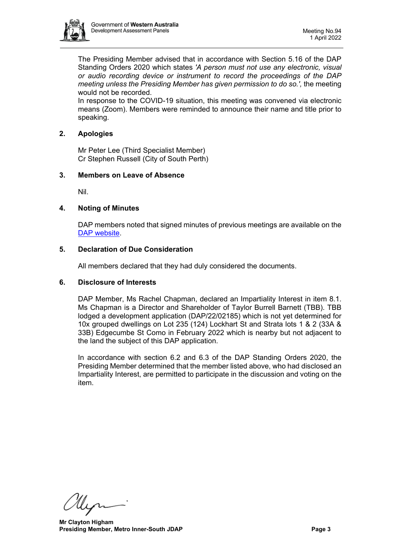

The Presiding Member advised that in accordance with Section 5.16 of the DAP Standing Orders 2020 which states *'A person must not use any electronic, visual or audio recording device or instrument to record the proceedings of the DAP meeting unless the Presiding Member has given permission to do so.',* the meeting would not be recorded.

In response to the COVID-19 situation, this meeting was convened via electronic means (Zoom). Members were reminded to announce their name and title prior to speaking.

# <span id="page-2-0"></span>**2. Apologies**

Mr Peter Lee (Third Specialist Member) Cr Stephen Russell (City of South Perth)

# <span id="page-2-1"></span>**3. Members on Leave of Absence**

Nil.

# <span id="page-2-2"></span>**4. Noting of Minutes**

DAP members noted that signed minutes of previous meetings are available on the [DAP website.](https://www.dplh.wa.gov.au/about/development-assessment-panels/daps-agendas-and-minutes)

# <span id="page-2-3"></span>**5. Declaration of Due Consideration**

All members declared that they had duly considered the documents.

# <span id="page-2-4"></span>**6. Disclosure of Interests**

DAP Member, Ms Rachel Chapman, declared an Impartiality Interest in item 8.1. Ms Chapman is a Director and Shareholder of Taylor Burrell Barnett (TBB). TBB lodged a development application (DAP/22/02185) which is not yet determined for 10x grouped dwellings on Lot 235 (124) Lockhart St and Strata lots 1 & 2 (33A & 33B) Edgecumbe St Como in February 2022 which is nearby but not adjacent to the land the subject of this DAP application.

In accordance with section 6.2 and 6.3 of the DAP Standing Orders 2020, the Presiding Member determined that the member listed above, who had disclosed an Impartiality Interest, are permitted to participate in the discussion and voting on the item.

Myr

**Mr Clayton Higham Presiding Member, Metro Inner-South JDAP Page 3 Page 3**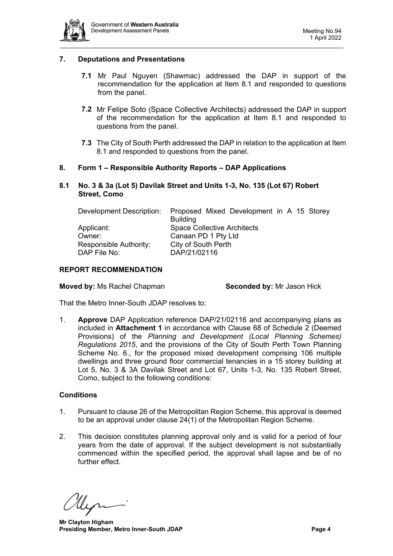

# <span id="page-3-0"></span>**7. Deputations and Presentations**

- **7.1** Mr Paul Nguyen (Shawmac) addressed the DAP in support of the recommendation for the application at Item 8.1 and responded to questions from the panel.
- **7.2** Mr Felipe Soto (Space Collective Architects) addressed the DAP in support of the recommendation for the application at Item 8.1 and responded to questions from the panel.
- **7.3** The City of South Perth addressed the DAP in relation to the application at Item 8.1 and responded to questions from the panel.

# <span id="page-3-1"></span>**8. Form 1 – Responsible Authority Reports – DAP Applications**

<span id="page-3-2"></span>**8.1 No. 3 & 3a (Lot 5) Davilak Street and Units 1-3, No. 135 (Lot 67) Robert Street, Como**

| Development Description: | Proposed Mixed Development in A 15 Storey |  |  |  |
|--------------------------|-------------------------------------------|--|--|--|
|                          | <b>Building</b>                           |  |  |  |
| Applicant:               | <b>Space Collective Architects</b>        |  |  |  |
| Owner:                   | Canaan PD 1 Pty Ltd                       |  |  |  |
| Responsible Authority:   | City of South Perth                       |  |  |  |
| DAP File No:             | DAP/21/02116                              |  |  |  |

# **REPORT RECOMMENDATION**

**Moved by:** Ms Rachel Chapman **Seconded by:** Mr Jason Hick

That the Metro Inner-South JDAP resolves to:

1. **Approve** DAP Application reference DAP/21/02116 and accompanying plans as included in **Attachment 1** in accordance with Clause 68 of Schedule 2 (Deemed Provisions) of the *Planning and Development (Local Planning Schemes) Regulations 2015*, and the provisions of the City of South Perth Town Planning Scheme No. 6., for the proposed mixed development comprising 106 multiple dwellings and three ground floor commercial tenancies in a 15 storey building at Lot 5, No. 3 & 3A Davilak Street and Lot 67, Units 1-3, No. 135 Robert Street, Como, subject to the following conditions:

# **Conditions**

- 1. Pursuant to clause 26 of the Metropolitan Region Scheme, this approval is deemed to be an approval under clause 24(1) of the Metropolitan Region Scheme.
- 2. This decision constitutes planning approval only and is valid for a period of four years from the date of approval. If the subject development is not substantially commenced within the specified period, the approval shall lapse and be of no further effect.

llin

**Mr Clayton Higham Presiding Member, Metro Inner-South JDAP Page 4 Page 4**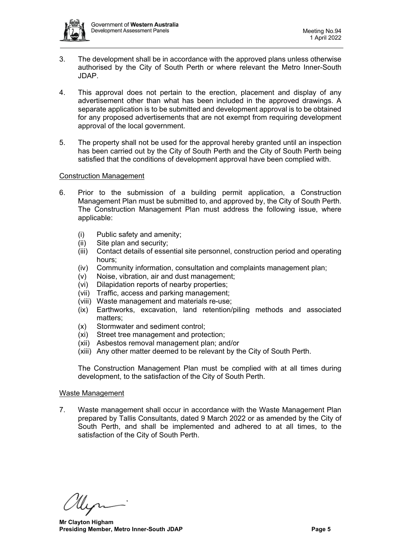

- 3. The development shall be in accordance with the approved plans unless otherwise authorised by the City of South Perth or where relevant the Metro Inner-South JDAP.
- 4. This approval does not pertain to the erection, placement and display of any advertisement other than what has been included in the approved drawings. A separate application is to be submitted and development approval is to be obtained for any proposed advertisements that are not exempt from requiring development approval of the local government.
- 5. The property shall not be used for the approval hereby granted until an inspection has been carried out by the City of South Perth and the City of South Perth being satisfied that the conditions of development approval have been complied with.

## Construction Management

- 6. Prior to the submission of a building permit application, a Construction Management Plan must be submitted to, and approved by, the City of South Perth. The Construction Management Plan must address the following issue, where applicable:
	- (i) Public safety and amenity;
	- (ii) Site plan and security;<br>(iii) Contact details of esse
	- Contact details of essential site personnel, construction period and operating hours;
	- (iv) Community information, consultation and complaints management plan;
	- (v) Noise, vibration, air and dust management;
	- (vi) Dilapidation reports of nearby properties;
	- (vii) Traffic, access and parking management;
	- (viii) Waste management and materials re-use;
	- (ix) Earthworks, excavation, land retention/piling methods and associated matters;
	- (x) Stormwater and sediment control;
	- (xi) Street tree management and protection;
	- (xii) Asbestos removal management plan; and/or
	- (xiii) Any other matter deemed to be relevant by the City of South Perth.

The Construction Management Plan must be complied with at all times during development, to the satisfaction of the City of South Perth.

#### Waste Management

7. Waste management shall occur in accordance with the Waste Management Plan prepared by Tallis Consultants, dated 9 March 2022 or as amended by the City of South Perth, and shall be implemented and adhered to at all times, to the satisfaction of the City of South Perth.

**Mr Clayton Higham Presiding Member, Metro Inner-South JDAP Page 5 Page 5**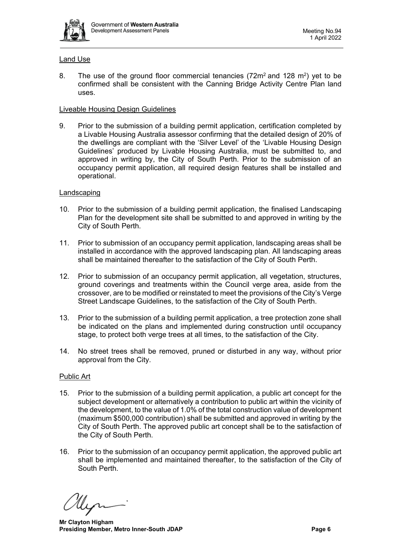

# Land Use

8. The use of the ground floor commercial tenancies  $(72m^2 \text{ and } 128 m^2)$  yet to be confirmed shall be consistent with the Canning Bridge Activity Centre Plan land uses.

# Liveable Housing Design Guidelines

9. Prior to the submission of a building permit application, certification completed by a Livable Housing Australia assessor confirming that the detailed design of 20% of the dwellings are compliant with the 'Silver Level' of the 'Livable Housing Design Guidelines' produced by Livable Housing Australia, must be submitted to, and approved in writing by, the City of South Perth. Prior to the submission of an occupancy permit application, all required design features shall be installed and operational.

# Landscaping

- 10. Prior to the submission of a building permit application, the finalised Landscaping Plan for the development site shall be submitted to and approved in writing by the City of South Perth.
- 11. Prior to submission of an occupancy permit application, landscaping areas shall be installed in accordance with the approved landscaping plan. All landscaping areas shall be maintained thereafter to the satisfaction of the City of South Perth.
- 12. Prior to submission of an occupancy permit application, all vegetation, structures, ground coverings and treatments within the Council verge area, aside from the crossover, are to be modified or reinstated to meet the provisions of the City's Verge Street Landscape Guidelines, to the satisfaction of the City of South Perth.
- 13. Prior to the submission of a building permit application, a tree protection zone shall be indicated on the plans and implemented during construction until occupancy stage, to protect both verge trees at all times, to the satisfaction of the City.
- 14. No street trees shall be removed, pruned or disturbed in any way, without prior approval from the City.

# Public Art

- 15. Prior to the submission of a building permit application, a public art concept for the subject development or alternatively a contribution to public art within the vicinity of the development, to the value of 1.0% of the total construction value of development (maximum \$500,000 contribution) shall be submitted and approved in writing by the City of South Perth. The approved public art concept shall be to the satisfaction of the City of South Perth.
- 16. Prior to the submission of an occupancy permit application, the approved public art shall be implemented and maintained thereafter, to the satisfaction of the City of South Perth.

**Mr Clayton Higham Presiding Member, Metro Inner-South JDAP Page 6 Page 6**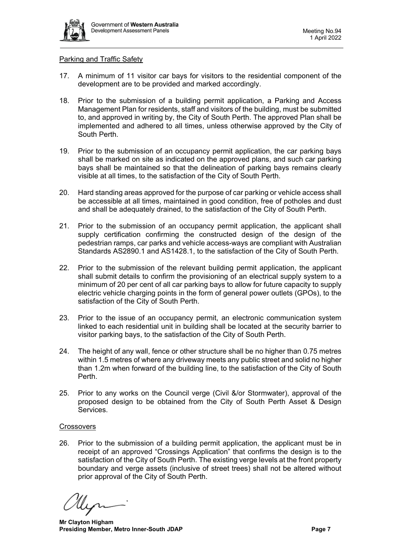

## Parking and Traffic Safety

- 17. A minimum of 11 visitor car bays for visitors to the residential component of the development are to be provided and marked accordingly.
- 18. Prior to the submission of a building permit application, a Parking and Access Management Plan for residents, staff and visitors of the building, must be submitted to, and approved in writing by, the City of South Perth. The approved Plan shall be implemented and adhered to all times, unless otherwise approved by the City of South Perth.
- 19. Prior to the submission of an occupancy permit application, the car parking bays shall be marked on site as indicated on the approved plans, and such car parking bays shall be maintained so that the delineation of parking bays remains clearly visible at all times, to the satisfaction of the City of South Perth.
- 20. Hard standing areas approved for the purpose of car parking or vehicle access shall be accessible at all times, maintained in good condition, free of potholes and dust and shall be adequately drained, to the satisfaction of the City of South Perth.
- 21. Prior to the submission of an occupancy permit application, the applicant shall supply certification confirming the constructed design of the design of the pedestrian ramps, car parks and vehicle access-ways are compliant with Australian Standards AS2890.1 and AS1428.1, to the satisfaction of the City of South Perth.
- 22. Prior to the submission of the relevant building permit application, the applicant shall submit details to confirm the provisioning of an electrical supply system to a minimum of 20 per cent of all car parking bays to allow for future capacity to supply electric vehicle charging points in the form of general power outlets (GPOs), to the satisfaction of the City of South Perth.
- 23. Prior to the issue of an occupancy permit, an electronic communication system linked to each residential unit in building shall be located at the security barrier to visitor parking bays, to the satisfaction of the City of South Perth.
- 24. The height of any wall, fence or other structure shall be no higher than 0.75 metres within 1.5 metres of where any driveway meets any public street and solid no higher than 1.2m when forward of the building line, to the satisfaction of the City of South Perth.
- 25. Prior to any works on the Council verge (Civil &/or Stormwater), approval of the proposed design to be obtained from the City of South Perth Asset & Design **Services**

# **Crossovers**

26. Prior to the submission of a building permit application, the applicant must be in receipt of an approved "Crossings Application" that confirms the design is to the satisfaction of the City of South Perth. The existing verge levels at the front property boundary and verge assets (inclusive of street trees) shall not be altered without prior approval of the City of South Perth.

**Mr Clayton Higham Presiding Member, Metro Inner-South JDAP Page 7 Page 7**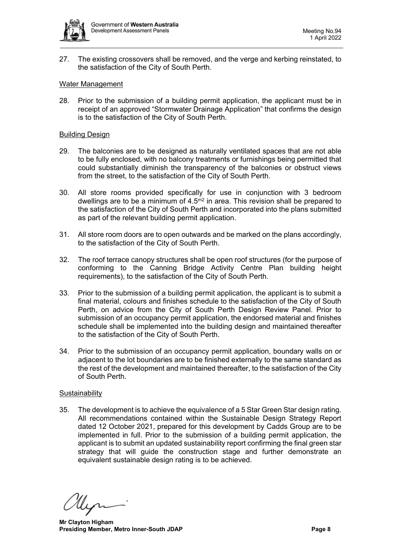

27. The existing crossovers shall be removed, and the verge and kerbing reinstated, to the satisfaction of the City of South Perth.

## Water Management

28. Prior to the submission of a building permit application, the applicant must be in receipt of an approved "Stormwater Drainage Application" that confirms the design is to the satisfaction of the City of South Perth.

## Building Design

- 29. The balconies are to be designed as naturally ventilated spaces that are not able to be fully enclosed, with no balcony treatments or furnishings being permitted that could substantially diminish the transparency of the balconies or obstruct views from the street, to the satisfaction of the City of South Perth.
- 30. All store rooms provided specifically for use in conjunction with 3 bedroom dwellings are to be a minimum of  $4.5<sup>m2</sup>$  in area. This revision shall be prepared to the satisfaction of the City of South Perth and incorporated into the plans submitted as part of the relevant building permit application.
- 31. All store room doors are to open outwards and be marked on the plans accordingly, to the satisfaction of the City of South Perth.
- 32. The roof terrace canopy structures shall be open roof structures (for the purpose of conforming to the Canning Bridge Activity Centre Plan building height requirements), to the satisfaction of the City of South Perth.
- 33. Prior to the submission of a building permit application, the applicant is to submit a final material, colours and finishes schedule to the satisfaction of the City of South Perth, on advice from the City of South Perth Design Review Panel. Prior to submission of an occupancy permit application, the endorsed material and finishes schedule shall be implemented into the building design and maintained thereafter to the satisfaction of the City of South Perth.
- 34. Prior to the submission of an occupancy permit application, boundary walls on or adjacent to the lot boundaries are to be finished externally to the same standard as the rest of the development and maintained thereafter, to the satisfaction of the City of South Perth.

#### **Sustainability**

35. The development is to achieve the equivalence of a 5 Star Green Star design rating. All recommendations contained within the Sustainable Design Strategy Report dated 12 October 2021, prepared for this development by Cadds Group are to be implemented in full. Prior to the submission of a building permit application, the applicant is to submit an updated sustainability report confirming the final green star strategy that will guide the construction stage and further demonstrate an equivalent sustainable design rating is to be achieved.

**Mr Clayton Higham Presiding Member, Metro Inner-South JDAP Page 8**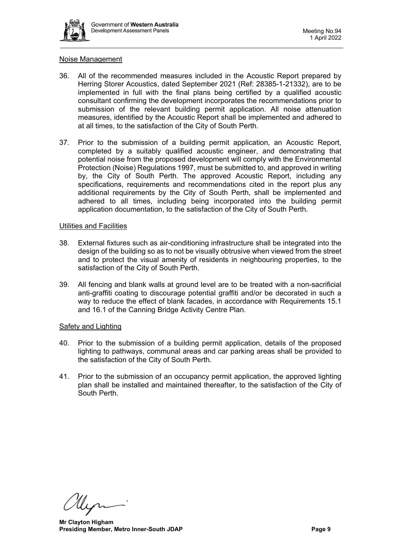

## Noise Management

- 36. All of the recommended measures included in the Acoustic Report prepared by Herring Storer Acoustics, dated September 2021 (Ref: 28385-1-21332), are to be implemented in full with the final plans being certified by a qualified acoustic consultant confirming the development incorporates the recommendations prior to submission of the relevant building permit application. All noise attenuation measures, identified by the Acoustic Report shall be implemented and adhered to at all times, to the satisfaction of the City of South Perth.
- 37. Prior to the submission of a building permit application, an Acoustic Report, completed by a suitably qualified acoustic engineer, and demonstrating that potential noise from the proposed development will comply with the Environmental Protection (Noise) Regulations 1997, must be submitted to, and approved in writing by, the City of South Perth. The approved Acoustic Report, including any specifications, requirements and recommendations cited in the report plus any additional requirements by the City of South Perth, shall be implemented and adhered to all times, including being incorporated into the building permit application documentation, to the satisfaction of the City of South Perth.

## Utilities and Facilities

- 38. External fixtures such as air-conditioning infrastructure shall be integrated into the design of the building so as to not be visually obtrusive when viewed from the street and to protect the visual amenity of residents in neighbouring properties, to the satisfaction of the City of South Perth.
- 39. All fencing and blank walls at ground level are to be treated with a non-sacrificial anti-graffiti coating to discourage potential graffiti and/or be decorated in such a way to reduce the effect of blank facades, in accordance with Requirements 15.1 and 16.1 of the Canning Bridge Activity Centre Plan.

# Safety and Lighting

- 40. Prior to the submission of a building permit application, details of the proposed lighting to pathways, communal areas and car parking areas shall be provided to the satisfaction of the City of South Perth.
- 41. Prior to the submission of an occupancy permit application, the approved lighting plan shall be installed and maintained thereafter, to the satisfaction of the City of South Perth.

**Mr Clayton Higham Presiding Member, Metro Inner-South JDAP Page 9 Page 9**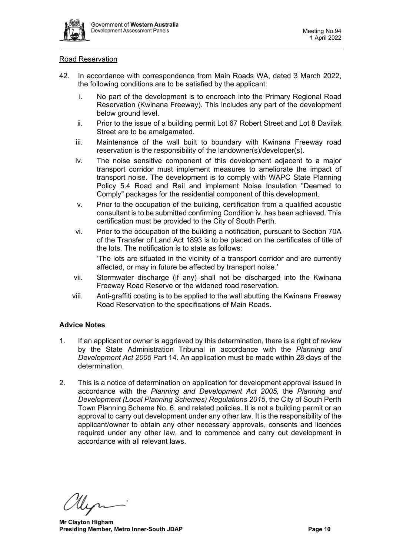

## Road Reservation

- 42. In accordance with correspondence from Main Roads WA, dated 3 March 2022, the following conditions are to be satisfied by the applicant:
	- i. No part of the development is to encroach into the Primary Regional Road Reservation (Kwinana Freeway). This includes any part of the development below ground level.
	- ii. Prior to the issue of a building permit Lot 67 Robert Street and Lot 8 Davilak Street are to be amalgamated.
	- iii. Maintenance of the wall built to boundary with Kwinana Freeway road reservation is the responsibility of the landowner(s)/developer(s).
	- iv. The noise sensitive component of this development adjacent to a major transport corridor must implement measures to ameliorate the impact of transport noise. The development is to comply with WAPC State Planning Policy 5.4 Road and Rail and implement Noise Insulation "Deemed to Comply" packages for the residential component of this development.
	- v. Prior to the occupation of the building, certification from a qualified acoustic consultant is to be submitted confirming Condition iv. has been achieved. This certification must be provided to the City of South Perth.
	- vi. Prior to the occupation of the building a notification, pursuant to Section 70A of the Transfer of Land Act 1893 is to be placed on the certificates of title of the lots. The notification is to state as follows:

'The lots are situated in the vicinity of a transport corridor and are currently affected, or may in future be affected by transport noise.'

- vii. Stormwater discharge (if any) shall not be discharged into the Kwinana Freeway Road Reserve or the widened road reservation.
- viii. Anti-graffiti coating is to be applied to the wall abutting the Kwinana Freeway Road Reservation to the specifications of Main Roads.

# **Advice Notes**

- 1. If an applicant or owner is aggrieved by this determination, there is a right of review by the State Administration Tribunal in accordance with the *Planning and Development Act 2005* Part 14. An application must be made within 28 days of the determination.
- 2. This is a notice of determination on application for development approval issued in accordance with the *Planning and Development Act 2005,* the *Planning and Development (Local Planning Schemes) Regulations 2015*, the City of South Perth Town Planning Scheme No. 6, and related policies. It is not a building permit or an approval to carry out development under any other law. It is the responsibility of the applicant/owner to obtain any other necessary approvals, consents and licences required under any other law, and to commence and carry out development in accordance with all relevant laws.

**Mr Clayton Higham Presiding Member, Metro Inner-South JDAP Page 10 Page 10**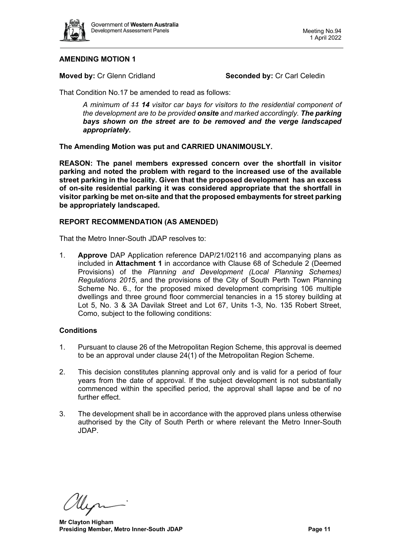

# **AMENDING MOTION 1**

**Moved by: Cr Glenn Cridland <b>Seconded by: Cr Carl Celedin** 

That Condition No.17 be amended to read as follows:

*A minimum of 11 14 visitor car bays for visitors to the residential component of the development are to be provided onsite and marked accordingly. The parking bays shown on the street are to be removed and the verge landscaped appropriately.*

**The Amending Motion was put and CARRIED UNANIMOUSLY.**

**REASON: The panel members expressed concern over the shortfall in visitor parking and noted the problem with regard to the increased use of the available street parking in the locality. Given that the proposed development has an excess of on-site residential parking it was considered appropriate that the shortfall in visitor parking be met on-site and that the proposed embayments for street parking be appropriately landscaped.**

## **REPORT RECOMMENDATION (AS AMENDED)**

That the Metro Inner-South JDAP resolves to:

1. **Approve** DAP Application reference DAP/21/02116 and accompanying plans as included in **Attachment 1** in accordance with Clause 68 of Schedule 2 (Deemed Provisions) of the *Planning and Development (Local Planning Schemes) Regulations 2015*, and the provisions of the City of South Perth Town Planning Scheme No. 6., for the proposed mixed development comprising 106 multiple dwellings and three ground floor commercial tenancies in a 15 storey building at Lot 5, No. 3 & 3A Davilak Street and Lot 67, Units 1-3, No. 135 Robert Street, Como, subject to the following conditions:

#### **Conditions**

- 1. Pursuant to clause 26 of the Metropolitan Region Scheme, this approval is deemed to be an approval under clause 24(1) of the Metropolitan Region Scheme.
- 2. This decision constitutes planning approval only and is valid for a period of four years from the date of approval. If the subject development is not substantially commenced within the specified period, the approval shall lapse and be of no further effect.
- 3. The development shall be in accordance with the approved plans unless otherwise authorised by the City of South Perth or where relevant the Metro Inner-South JDAP.

Uyn

**Mr Clayton Higham Presiding Member, Metro Inner-South JDAP Page 11 Page 11**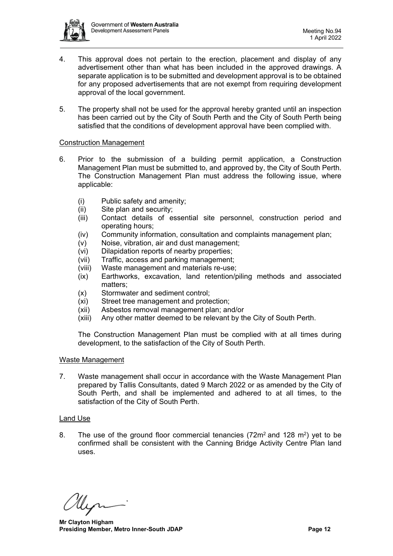

- 4. This approval does not pertain to the erection, placement and display of any advertisement other than what has been included in the approved drawings. A separate application is to be submitted and development approval is to be obtained for any proposed advertisements that are not exempt from requiring development approval of the local government.
- 5. The property shall not be used for the approval hereby granted until an inspection has been carried out by the City of South Perth and the City of South Perth being satisfied that the conditions of development approval have been complied with.

## Construction Management

- 6. Prior to the submission of a building permit application, a Construction Management Plan must be submitted to, and approved by, the City of South Perth. The Construction Management Plan must address the following issue, where applicable:
	- (i) Public safety and amenity;
	- (ii) Site plan and security;
	- (iii) Contact details of essential site personnel, construction period and operating hours;
	- (iv) Community information, consultation and complaints management plan;
	- (v) Noise, vibration, air and dust management;<br>(vi) Dilapidation reports of nearby properties:
	- Dilapidation reports of nearby properties;
	- (vii) Traffic, access and parking management;
	- (viii) Waste management and materials re-use;
	- (ix) Earthworks, excavation, land retention/piling methods and associated matters;
	- (x) Stormwater and sediment control;
	- (xi) Street tree management and protection;
	- (xii) Asbestos removal management plan; and/or
	- (xiii) Any other matter deemed to be relevant by the City of South Perth.

The Construction Management Plan must be complied with at all times during development, to the satisfaction of the City of South Perth.

#### Waste Management

7. Waste management shall occur in accordance with the Waste Management Plan prepared by Tallis Consultants, dated 9 March 2022 or as amended by the City of South Perth, and shall be implemented and adhered to at all times, to the satisfaction of the City of South Perth.

#### Land Use

8. The use of the ground floor commercial tenancies  $(72m^2 \text{ and } 128 m^2)$  yet to be confirmed shall be consistent with the Canning Bridge Activity Centre Plan land uses.

**Mr Clayton Higham Presiding Member, Metro Inner-South JDAP Page 12 Page 12**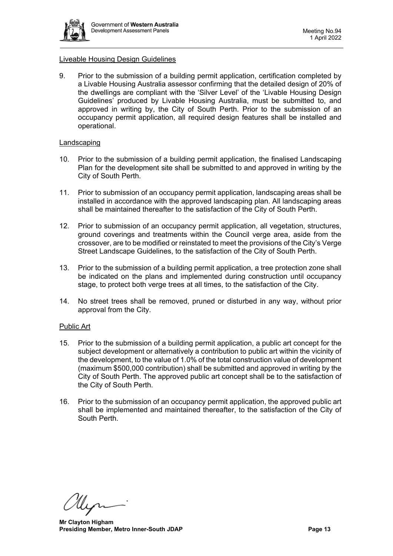

## Liveable Housing Design Guidelines

9. Prior to the submission of a building permit application, certification completed by a Livable Housing Australia assessor confirming that the detailed design of 20% of the dwellings are compliant with the 'Silver Level' of the 'Livable Housing Design Guidelines' produced by Livable Housing Australia, must be submitted to, and approved in writing by, the City of South Perth. Prior to the submission of an occupancy permit application, all required design features shall be installed and operational.

#### Landscaping

- 10. Prior to the submission of a building permit application, the finalised Landscaping Plan for the development site shall be submitted to and approved in writing by the City of South Perth.
- 11. Prior to submission of an occupancy permit application, landscaping areas shall be installed in accordance with the approved landscaping plan. All landscaping areas shall be maintained thereafter to the satisfaction of the City of South Perth.
- 12. Prior to submission of an occupancy permit application, all vegetation, structures, ground coverings and treatments within the Council verge area, aside from the crossover, are to be modified or reinstated to meet the provisions of the City's Verge Street Landscape Guidelines, to the satisfaction of the City of South Perth.
- 13. Prior to the submission of a building permit application, a tree protection zone shall be indicated on the plans and implemented during construction until occupancy stage, to protect both verge trees at all times, to the satisfaction of the City.
- 14. No street trees shall be removed, pruned or disturbed in any way, without prior approval from the City.

#### Public Art

- 15. Prior to the submission of a building permit application, a public art concept for the subject development or alternatively a contribution to public art within the vicinity of the development, to the value of 1.0% of the total construction value of development (maximum \$500,000 contribution) shall be submitted and approved in writing by the City of South Perth. The approved public art concept shall be to the satisfaction of the City of South Perth.
- 16. Prior to the submission of an occupancy permit application, the approved public art shall be implemented and maintained thereafter, to the satisfaction of the City of South Perth.

**Mr Clayton Higham Presiding Member, Metro Inner-South JDAP Page 13 Page 13**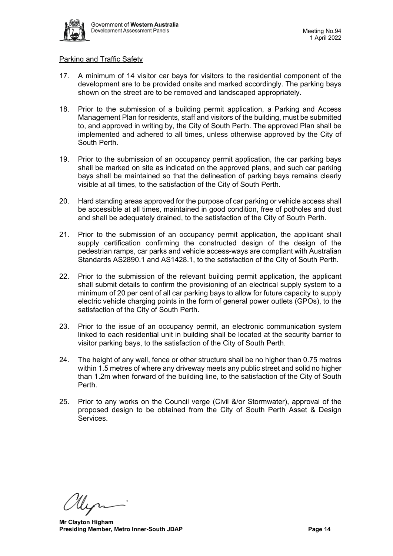

#### Parking and Traffic Safety

- 17. A minimum of 14 visitor car bays for visitors to the residential component of the development are to be provided onsite and marked accordingly. The parking bays shown on the street are to be removed and landscaped appropriately.
- 18. Prior to the submission of a building permit application, a Parking and Access Management Plan for residents, staff and visitors of the building, must be submitted to, and approved in writing by, the City of South Perth. The approved Plan shall be implemented and adhered to all times, unless otherwise approved by the City of South Perth.
- 19. Prior to the submission of an occupancy permit application, the car parking bays shall be marked on site as indicated on the approved plans, and such car parking bays shall be maintained so that the delineation of parking bays remains clearly visible at all times, to the satisfaction of the City of South Perth.
- 20. Hard standing areas approved for the purpose of car parking or vehicle access shall be accessible at all times, maintained in good condition, free of potholes and dust and shall be adequately drained, to the satisfaction of the City of South Perth.
- 21. Prior to the submission of an occupancy permit application, the applicant shall supply certification confirming the constructed design of the design of the pedestrian ramps, car parks and vehicle access-ways are compliant with Australian Standards AS2890.1 and AS1428.1, to the satisfaction of the City of South Perth.
- 22. Prior to the submission of the relevant building permit application, the applicant shall submit details to confirm the provisioning of an electrical supply system to a minimum of 20 per cent of all car parking bays to allow for future capacity to supply electric vehicle charging points in the form of general power outlets (GPOs), to the satisfaction of the City of South Perth.
- 23. Prior to the issue of an occupancy permit, an electronic communication system linked to each residential unit in building shall be located at the security barrier to visitor parking bays, to the satisfaction of the City of South Perth.
- 24. The height of any wall, fence or other structure shall be no higher than 0.75 metres within 1.5 metres of where any driveway meets any public street and solid no higher than 1.2m when forward of the building line, to the satisfaction of the City of South Perth.
- 25. Prior to any works on the Council verge (Civil &/or Stormwater), approval of the proposed design to be obtained from the City of South Perth Asset & Design Services.

**Mr Clayton Higham Presiding Member, Metro Inner-South JDAP Page 14 Page 14**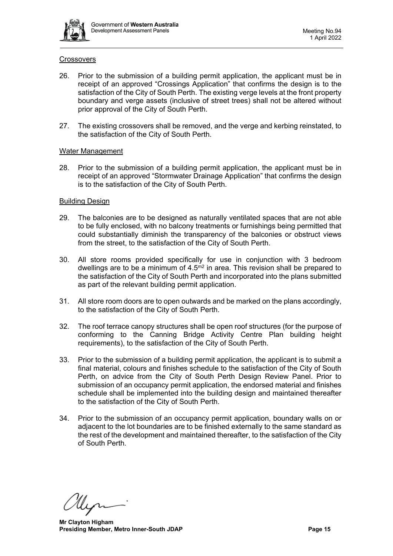

## **Crossovers**

- 26. Prior to the submission of a building permit application, the applicant must be in receipt of an approved "Crossings Application" that confirms the design is to the satisfaction of the City of South Perth. The existing verge levels at the front property boundary and verge assets (inclusive of street trees) shall not be altered without prior approval of the City of South Perth.
- 27. The existing crossovers shall be removed, and the verge and kerbing reinstated, to the satisfaction of the City of South Perth.

## Water Management

28. Prior to the submission of a building permit application, the applicant must be in receipt of an approved "Stormwater Drainage Application" that confirms the design is to the satisfaction of the City of South Perth.

## Building Design

- 29. The balconies are to be designed as naturally ventilated spaces that are not able to be fully enclosed, with no balcony treatments or furnishings being permitted that could substantially diminish the transparency of the balconies or obstruct views from the street, to the satisfaction of the City of South Perth.
- 30. All store rooms provided specifically for use in conjunction with 3 bedroom dwellings are to be a minimum of  $4.5<sup>m2</sup>$  in area. This revision shall be prepared to the satisfaction of the City of South Perth and incorporated into the plans submitted as part of the relevant building permit application.
- 31. All store room doors are to open outwards and be marked on the plans accordingly, to the satisfaction of the City of South Perth.
- 32. The roof terrace canopy structures shall be open roof structures (for the purpose of conforming to the Canning Bridge Activity Centre Plan building height requirements), to the satisfaction of the City of South Perth.
- 33. Prior to the submission of a building permit application, the applicant is to submit a final material, colours and finishes schedule to the satisfaction of the City of South Perth, on advice from the City of South Perth Design Review Panel. Prior to submission of an occupancy permit application, the endorsed material and finishes schedule shall be implemented into the building design and maintained thereafter to the satisfaction of the City of South Perth.
- 34. Prior to the submission of an occupancy permit application, boundary walls on or adjacent to the lot boundaries are to be finished externally to the same standard as the rest of the development and maintained thereafter, to the satisfaction of the City of South Perth.

**Mr Clayton Higham Presiding Member, Metro Inner-South JDAP Page 15 Page 15**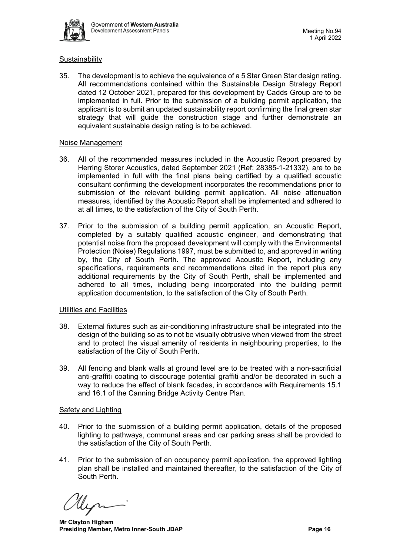

# **Sustainability**

35. The development is to achieve the equivalence of a 5 Star Green Star design rating. All recommendations contained within the Sustainable Design Strategy Report dated 12 October 2021, prepared for this development by Cadds Group are to be implemented in full. Prior to the submission of a building permit application, the applicant is to submit an updated sustainability report confirming the final green star strategy that will guide the construction stage and further demonstrate an equivalent sustainable design rating is to be achieved.

#### Noise Management

- 36. All of the recommended measures included in the Acoustic Report prepared by Herring Storer Acoustics, dated September 2021 (Ref: 28385-1-21332), are to be implemented in full with the final plans being certified by a qualified acoustic consultant confirming the development incorporates the recommendations prior to submission of the relevant building permit application. All noise attenuation measures, identified by the Acoustic Report shall be implemented and adhered to at all times, to the satisfaction of the City of South Perth.
- 37. Prior to the submission of a building permit application, an Acoustic Report, completed by a suitably qualified acoustic engineer, and demonstrating that potential noise from the proposed development will comply with the Environmental Protection (Noise) Regulations 1997, must be submitted to, and approved in writing by, the City of South Perth. The approved Acoustic Report, including any specifications, requirements and recommendations cited in the report plus any additional requirements by the City of South Perth, shall be implemented and adhered to all times, including being incorporated into the building permit application documentation, to the satisfaction of the City of South Perth.

#### Utilities and Facilities

- 38. External fixtures such as air-conditioning infrastructure shall be integrated into the design of the building so as to not be visually obtrusive when viewed from the street and to protect the visual amenity of residents in neighbouring properties, to the satisfaction of the City of South Perth.
- 39. All fencing and blank walls at ground level are to be treated with a non-sacrificial anti-graffiti coating to discourage potential graffiti and/or be decorated in such a way to reduce the effect of blank facades, in accordance with Requirements 15.1 and 16.1 of the Canning Bridge Activity Centre Plan.

## **Safety and Lighting**

- 40. Prior to the submission of a building permit application, details of the proposed lighting to pathways, communal areas and car parking areas shall be provided to the satisfaction of the City of South Perth.
- 41. Prior to the submission of an occupancy permit application, the approved lighting plan shall be installed and maintained thereafter, to the satisfaction of the City of South Perth.

**Mr Clayton Higham Presiding Member, Metro Inner-South JDAP Page 16 Page 16**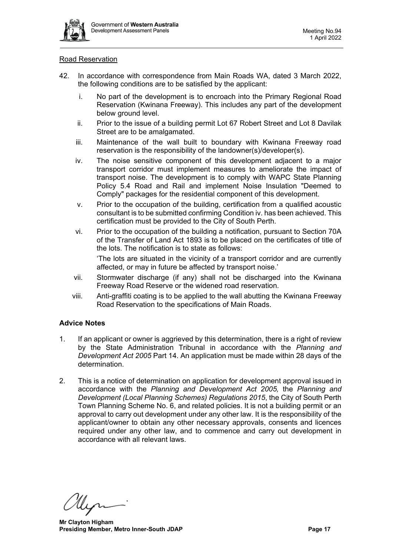

## Road Reservation

- 42. In accordance with correspondence from Main Roads WA, dated 3 March 2022, the following conditions are to be satisfied by the applicant:
	- i. No part of the development is to encroach into the Primary Regional Road Reservation (Kwinana Freeway). This includes any part of the development below ground level.
	- ii. Prior to the issue of a building permit Lot 67 Robert Street and Lot 8 Davilak Street are to be amalgamated.
	- iii. Maintenance of the wall built to boundary with Kwinana Freeway road reservation is the responsibility of the landowner(s)/developer(s).
	- iv. The noise sensitive component of this development adjacent to a major transport corridor must implement measures to ameliorate the impact of transport noise. The development is to comply with WAPC State Planning Policy 5.4 Road and Rail and implement Noise Insulation "Deemed to Comply" packages for the residential component of this development.
	- v. Prior to the occupation of the building, certification from a qualified acoustic consultant is to be submitted confirming Condition iv. has been achieved. This certification must be provided to the City of South Perth.
	- vi. Prior to the occupation of the building a notification, pursuant to Section 70A of the Transfer of Land Act 1893 is to be placed on the certificates of title of the lots. The notification is to state as follows:

'The lots are situated in the vicinity of a transport corridor and are currently affected, or may in future be affected by transport noise.'

- vii. Stormwater discharge (if any) shall not be discharged into the Kwinana Freeway Road Reserve or the widened road reservation.
- viii. Anti-graffiti coating is to be applied to the wall abutting the Kwinana Freeway Road Reservation to the specifications of Main Roads.

# **Advice Notes**

- 1. If an applicant or owner is aggrieved by this determination, there is a right of review by the State Administration Tribunal in accordance with the *Planning and Development Act 2005* Part 14. An application must be made within 28 days of the determination.
- 2. This is a notice of determination on application for development approval issued in accordance with the *Planning and Development Act 2005,* the *Planning and Development (Local Planning Schemes) Regulations 2015*, the City of South Perth Town Planning Scheme No. 6, and related policies. It is not a building permit or an approval to carry out development under any other law. It is the responsibility of the applicant/owner to obtain any other necessary approvals, consents and licences required under any other law, and to commence and carry out development in accordance with all relevant laws.

**Mr Clayton Higham Presiding Member, Metro Inner-South JDAP Page 17 Page 17**